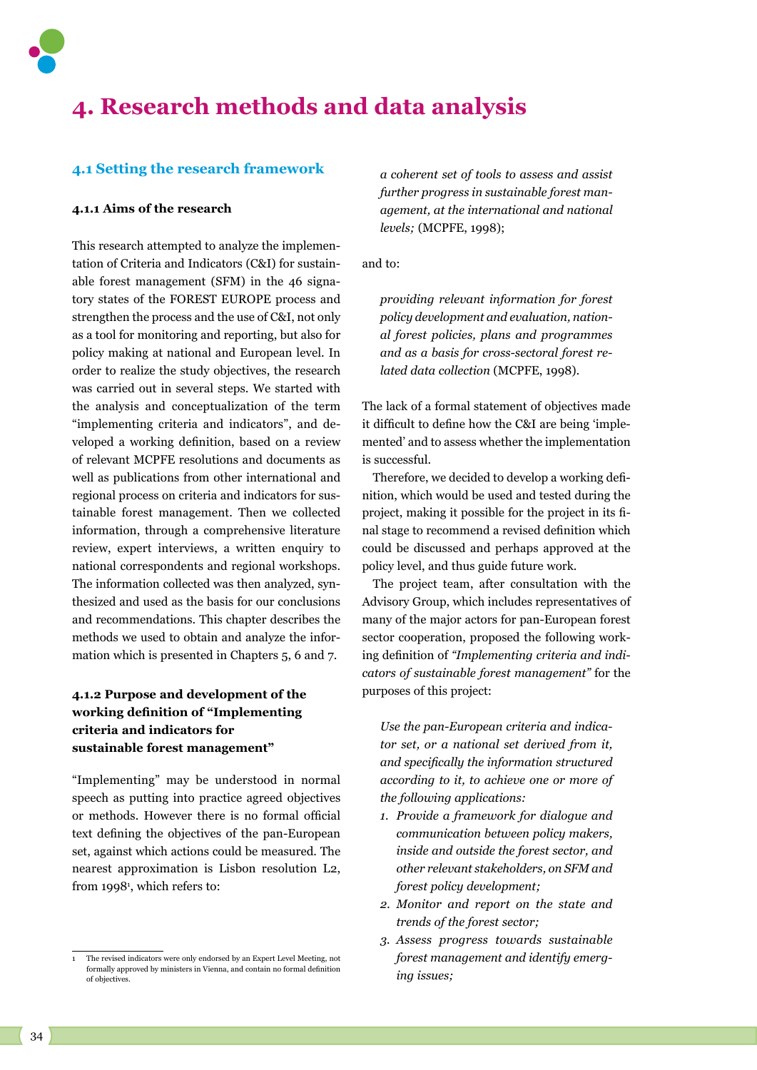

# **4. Research methods and data analysis**

## **4.1 Setting the research framework**

## **4.1.1 Aims of the research**

This research attempted to analyze the implementation of Criteria and Indicators (C&I) for sustainable forest management (SFM) in the 46 signatory states of the FOREST EUROPE process and strengthen the process and the use of C&I, not only as a tool for monitoring and reporting, but also for policy making at national and European level. In order to realize the study objectives, the research was carried out in several steps. We started with the analysis and conceptualization of the term "implementing criteria and indicators", and developed a working definition, based on a review of relevant MCPFE resolutions and documents as well as publications from other international and regional process on criteria and indicators for sustainable forest management. Then we collected information, through a comprehensive literature review, expert interviews, a written enquiry to national correspondents and regional workshops. The information collected was then analyzed, synthesized and used as the basis for our conclusions and recommendations. This chapter describes the methods we used to obtain and analyze the information which is presented in Chapters 5, 6 and 7.

# **4.1.2 Purpose and development of the working definition of "Implementing criteria and indicators for sustainable forest management"**

"Implementing" may be understood in normal speech as putting into practice agreed objectives or methods. However there is no formal official text defining the objectives of the pan-European set, against which actions could be measured. The nearest approximation is Lisbon resolution L2, from 19981 , which refers to:

*a coherent set of tools to assess and assist further progress in sustainable forest management, at the international and national levels;* (MCPFE, 1998);

and to:

*providing relevant information for forest policy development and evaluation, national forest policies, plans and programmes and as a basis for cross-sectoral forest related data collection* (MCPFE, 1998)*.*

The lack of a formal statement of objectives made it difficult to define how the C&I are being 'implemented' and to assess whether the implementation is successful.

Therefore, we decided to develop a working definition, which would be used and tested during the project, making it possible for the project in its final stage to recommend a revised definition which could be discussed and perhaps approved at the policy level, and thus guide future work.

The project team, after consultation with the Advisory Group, which includes representatives of many of the major actors for pan-European forest sector cooperation, proposed the following working definition of *"Implementing criteria and indicators of sustainable forest management"* for the purposes of this project:

*Use the pan-European criteria and indicator set, or a national set derived from it, and specifically the information structured according to it, to achieve one or more of the following applications:*

- *1. Provide a framework for dialogue and communication between policy makers, inside and outside the forest sector, and other relevant stakeholders, on SFM and forest policy development;*
- *2. Monitor and report on the state and trends of the forest sector;*
- *3. Assess progress towards sustainable forest management and identify emerging issues;*

<sup>1</sup> The revised indicators were only endorsed by an Expert Level Meeting, not formally approved by ministers in Vienna, and contain no formal definition of objectives.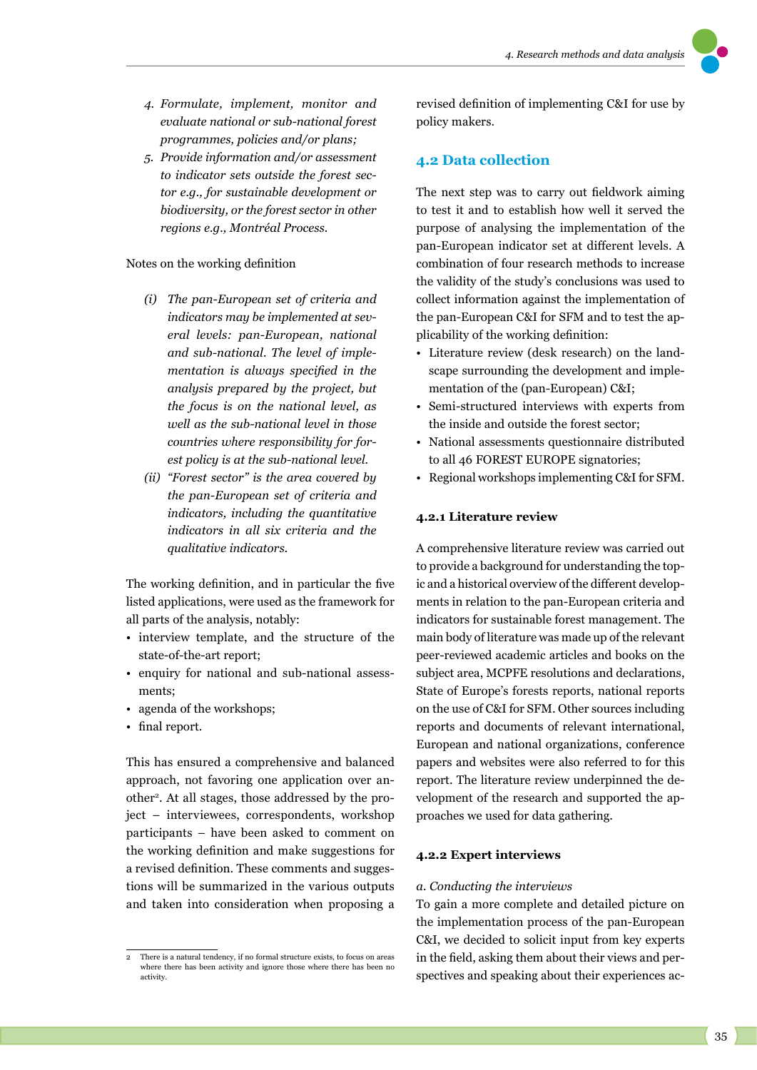

- *4. Formulate, implement, monitor and evaluate national or sub-national forest programmes, policies and/or plans;*
- *5. Provide information and/or assessment to indicator sets outside the forest sector e.g., for sustainable development or biodiversity, or the forest sector in other regions e.g., Montréal Process.*

## Notes on the working definition

- *(i) The pan-European set of criteria and indicators may be implemented at several levels: pan-European, national and sub-national. The level of implementation is always specified in the analysis prepared by the project, but the focus is on the national level, as well as the sub-national level in those countries where responsibility for forest policy is at the sub-national level.*
- *(ii) "Forest sector" is the area covered by the pan-European set of criteria and indicators, including the quantitative indicators in all six criteria and the qualitative indicators.*

The working definition, and in particular the five listed applications, were used as the framework for all parts of the analysis, notably:

- interview template, and the structure of the state-of-the-art report;
- enquiry for national and sub-national assessments;
- agenda of the workshops;
- final report.

This has ensured a comprehensive and balanced approach, not favoring one application over another2. At all stages, those addressed by the project – interviewees, correspondents, workshop participants – have been asked to comment on the working definition and make suggestions for a revised definition. These comments and suggestions will be summarized in the various outputs and taken into consideration when proposing a

revised definition of implementing C&I for use by policy makers.

# **4.2 Data collection**

The next step was to carry out fieldwork aiming to test it and to establish how well it served the purpose of analysing the implementation of the pan-European indicator set at different levels. A combination of four research methods to increase the validity of the study's conclusions was used to collect information against the implementation of the pan-European C&I for SFM and to test the applicability of the working definition:

- Literature review (desk research) on the landscape surrounding the development and implementation of the (pan-European) C&I;
- Semi-structured interviews with experts from the inside and outside the forest sector;
- National assessments questionnaire distributed to all 46 FOREST EUROPE signatories;
- Regional workshops implementing C&I for SFM.

## **4.2.1 Literature review**

A comprehensive literature review was carried out to provide a background for understanding the topic and a historical overview of the different developments in relation to the pan-European criteria and indicators for sustainable forest management. The main body of literature was made up of the relevant peer-reviewed academic articles and books on the subject area, MCPFE resolutions and declarations, State of Europe's forests reports, national reports on the use of C&I for SFM. Other sources including reports and documents of relevant international, European and national organizations, conference papers and websites were also referred to for this report. The literature review underpinned the development of the research and supported the approaches we used for data gathering.

## **4.2.2 Expert interviews**

#### *a. Conducting the interviews*

To gain a more complete and detailed picture on the implementation process of the pan-European C&I, we decided to solicit input from key experts in the field, asking them about their views and perspectives and speaking about their experiences ac-

<sup>2</sup> There is a natural tendency, if no formal structure exists, to focus on areas where there has been activity and ignore those where there has been no activity.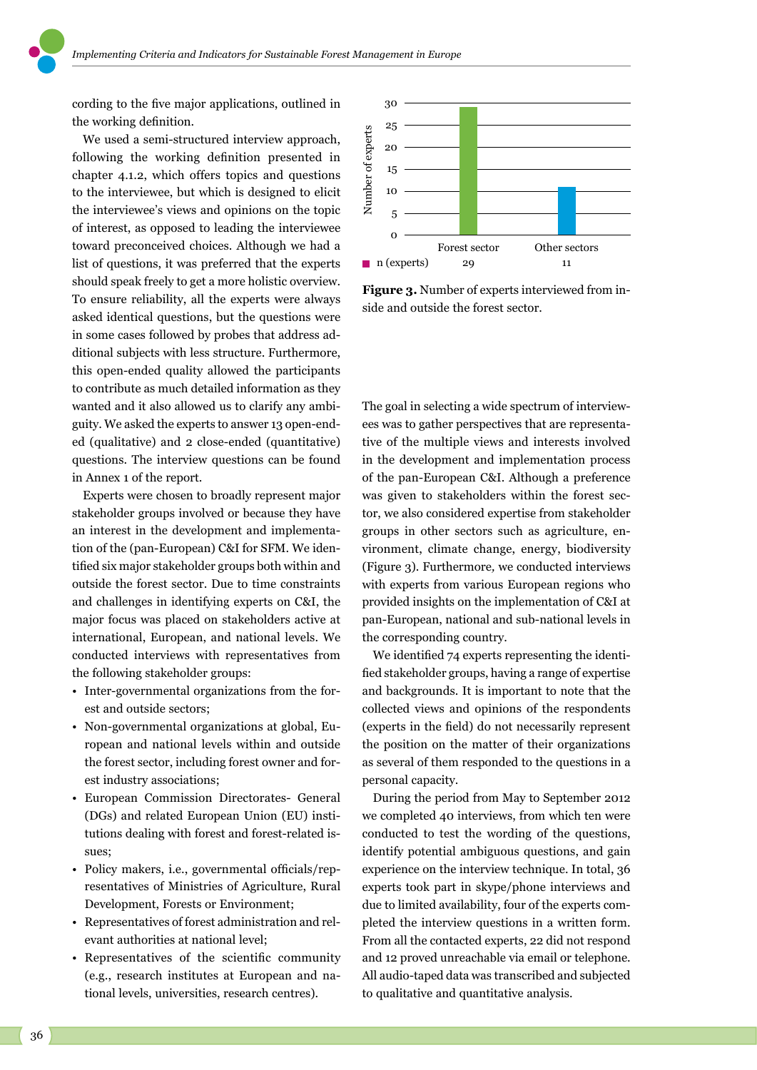cording to the five major applications, outlined in the working definition.

We used a semi-structured interview approach, following the working definition presented in chapter 4.1.2, which offers topics and questions to the interviewee, but which is designed to elicit the interviewee's views and opinions on the topic of interest, as opposed to leading the interviewee toward preconceived choices. Although we had a list of questions, it was preferred that the experts should speak freely to get a more holistic overview. To ensure reliability, all the experts were always asked identical questions, but the questions were in some cases followed by probes that address additional subjects with less structure. Furthermore, this open-ended quality allowed the participants to contribute as much detailed information as they wanted and it also allowed us to clarify any ambiguity. We asked the experts to answer 13 open-ended (qualitative) and 2 close-ended (quantitative) questions. The interview questions can be found in Annex 1 of the report.

Experts were chosen to broadly represent major stakeholder groups involved or because they have an interest in the development and implementation of the (pan-European) C&I for SFM. We identified six major stakeholder groups both within and outside the forest sector. Due to time constraints and challenges in identifying experts on C&I, the major focus was placed on stakeholders active at international, European, and national levels. We conducted interviews with representatives from the following stakeholder groups:

- Inter-governmental organizations from the forest and outside sectors;
- Non-governmental organizations at global, European and national levels within and outside the forest sector, including forest owner and forest industry associations;
- European Commission Directorates- General (DGs) and related European Union (EU) institutions dealing with forest and forest-related issues;
- Policy makers, i.e., governmental officials/representatives of Ministries of Agriculture, Rural Development, Forests or Environment;
- Representatives of forest administration and relevant authorities at national level;
- Representatives of the scientific community (e.g., research institutes at European and national levels, universities, research centres).



**Figure 3.** Number of experts interviewed from inside and outside the forest sector.

The goal in selecting a wide spectrum of interviewees was to gather perspectives that are representative of the multiple views and interests involved in the development and implementation process of the pan-European C&I. Although a preference was given to stakeholders within the forest sector, we also considered expertise from stakeholder groups in other sectors such as agriculture, environment, climate change, energy, biodiversity (Figure 3). Furthermore*,* we conducted interviews with experts from various European regions who provided insights on the implementation of C&I at pan-European, national and sub-national levels in the corresponding country.

We identified 74 experts representing the identified stakeholder groups, having a range of expertise and backgrounds. It is important to note that the collected views and opinions of the respondents (experts in the field) do not necessarily represent the position on the matter of their organizations as several of them responded to the questions in a personal capacity.

During the period from May to September 2012 we completed 40 interviews, from which ten were conducted to test the wording of the questions, identify potential ambiguous questions, and gain experience on the interview technique. In total, 36 experts took part in skype/phone interviews and due to limited availability, four of the experts completed the interview questions in a written form. From all the contacted experts, 22 did not respond and 12 proved unreachable via email or telephone. All audio-taped data was transcribed and subjected to qualitative and quantitative analysis.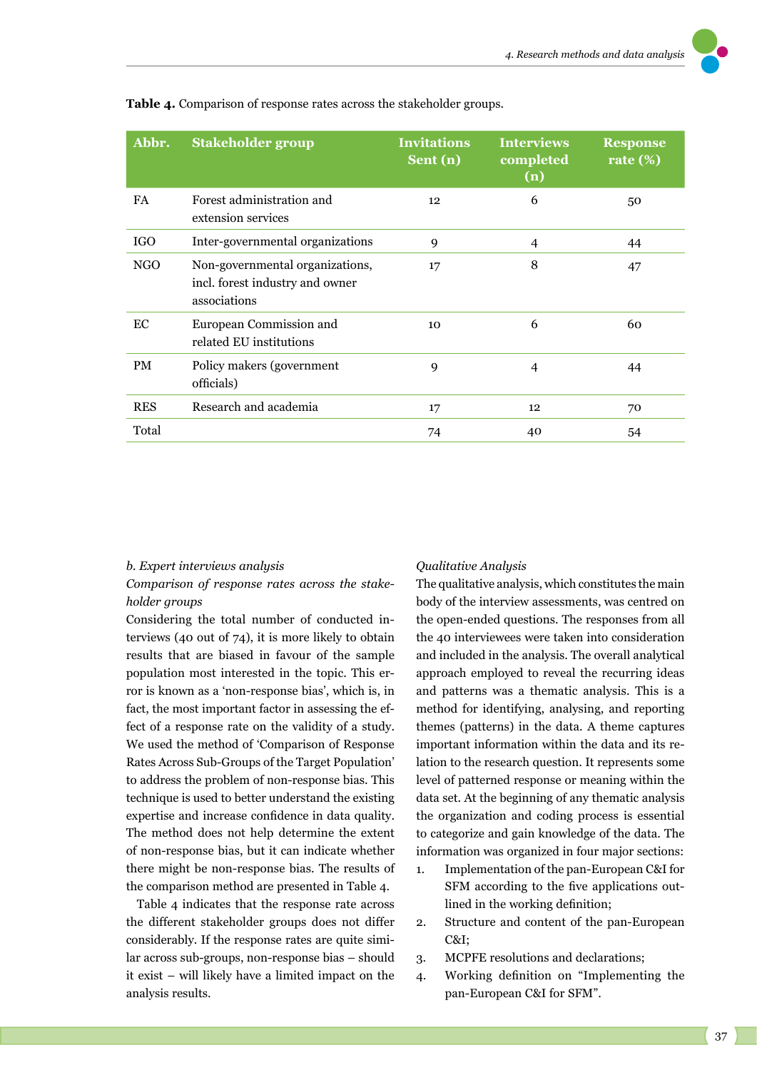| Abbr.      | <b>Stakeholder group</b>                                                           | <b>Invitations</b><br>Sent (n) | <b>Interviews</b><br>completed<br>(n) | <b>Response</b><br>rate $(\%)$ |
|------------|------------------------------------------------------------------------------------|--------------------------------|---------------------------------------|--------------------------------|
| <b>FA</b>  | Forest administration and<br>extension services                                    | 12                             | 6                                     | 50                             |
| <b>IGO</b> | Inter-governmental organizations                                                   | 9                              | 4                                     | 44                             |
| NGO        | Non-governmental organizations,<br>incl. forest industry and owner<br>associations | 17                             | 8                                     | 47                             |
| EC         | European Commission and<br>related EU institutions                                 | 10 <sup>2</sup>                | 6                                     | 60                             |
| <b>PM</b>  | Policy makers (government<br>officials)                                            | 9                              | $\overline{4}$                        | 44                             |
| <b>RES</b> | Research and academia                                                              | 17                             | 12                                    | 70                             |
| Total      |                                                                                    | 74                             | 40                                    | 54                             |

**Table 4.** Comparison of response rates across the stakeholder groups.

#### *b. Expert interviews analysis*

*Comparison of response rates across the stakeholder groups* 

Considering the total number of conducted interviews (40 out of 74), it is more likely to obtain results that are biased in favour of the sample population most interested in the topic. This error is known as a 'non-response bias', which is, in fact, the most important factor in assessing the effect of a response rate on the validity of a study. We used the method of 'Comparison of Response Rates Across Sub-Groups of the Target Population' to address the problem of non-response bias. This technique is used to better understand the existing expertise and increase confidence in data quality. The method does not help determine the extent of non-response bias, but it can indicate whether there might be non-response bias. The results of the comparison method are presented in Table 4.

Table 4 indicates that the response rate across the different stakeholder groups does not differ considerably. If the response rates are quite similar across sub-groups, non-response bias – should it exist – will likely have a limited impact on the analysis results.

#### *Qualitative Analysis*

The qualitative analysis, which constitutes the main body of the interview assessments, was centred on the open-ended questions. The responses from all the 40 interviewees were taken into consideration and included in the analysis. The overall analytical approach employed to reveal the recurring ideas and patterns was a thematic analysis. This is a method for identifying, analysing, and reporting themes (patterns) in the data. A theme captures important information within the data and its relation to the research question. It represents some level of patterned response or meaning within the data set. At the beginning of any thematic analysis the organization and coding process is essential to categorize and gain knowledge of the data. The information was organized in four major sections:

- 1. Implementation of the pan-European C&I for SFM according to the five applications outlined in the working definition;
- 2. Structure and content of the pan-European C&I;
- 3. MCPFE resolutions and declarations;
- 4. Working definition on "Implementing the pan-European C&I for SFM".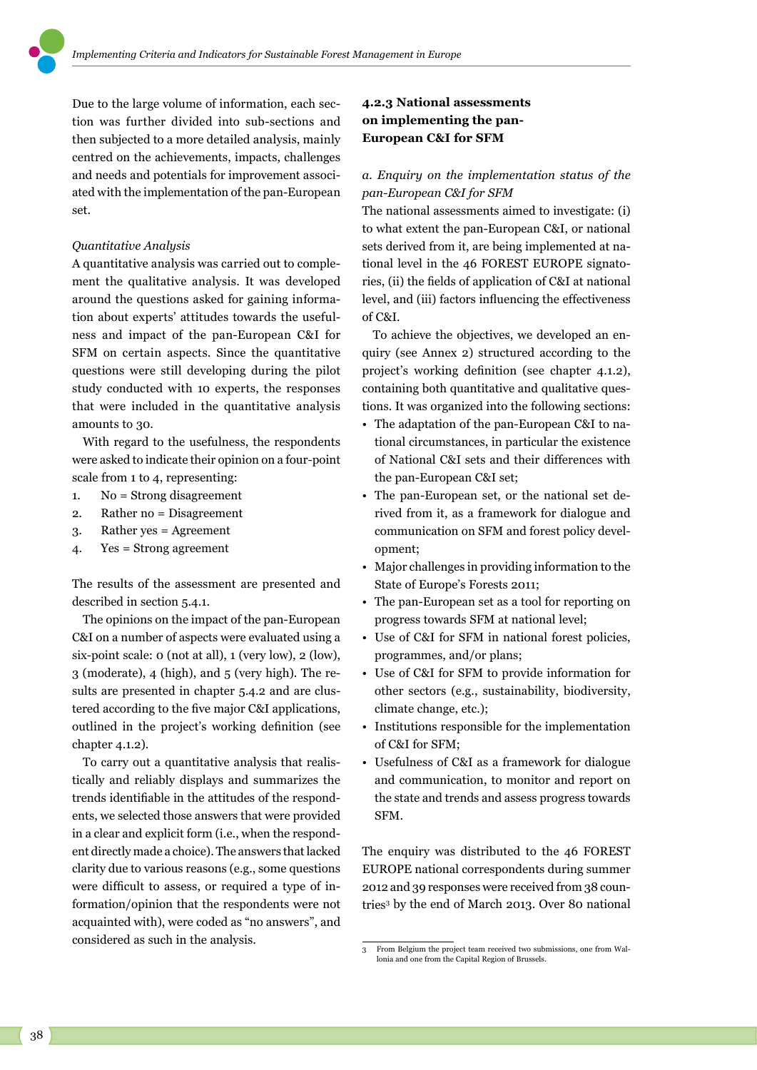Due to the large volume of information, each section was further divided into sub-sections and then subjected to a more detailed analysis, mainly centred on the achievements, impacts, challenges and needs and potentials for improvement associated with the implementation of the pan-European set.

## *Quantitative Analysis*

A quantitative analysis was carried out to complement the qualitative analysis. It was developed around the questions asked for gaining information about experts' attitudes towards the usefulness and impact of the pan-European C&I for SFM on certain aspects. Since the quantitative questions were still developing during the pilot study conducted with 10 experts, the responses that were included in the quantitative analysis amounts to 30.

With regard to the usefulness, the respondents were asked to indicate their opinion on a four-point scale from 1 to 4, representing:

- 1. No = Strong disagreement
- 2. Rather no = Disagreement
- 3. Rather yes = Agreement
- 4. Yes = Strong agreement

The results of the assessment are presented and described in section 5.4.1.

The opinions on the impact of the pan-European C&I on a number of aspects were evaluated using a six-point scale: 0 (not at all), 1 (very low), 2 (low), 3 (moderate), 4 (high), and 5 (very high). The results are presented in chapter 5.4.2 and are clustered according to the five major C&I applications, outlined in the project's working definition (see chapter 4.1.2).

To carry out a quantitative analysis that realistically and reliably displays and summarizes the trends identifiable in the attitudes of the respondents, we selected those answers that were provided in a clear and explicit form (i.e., when the respondent directly made a choice). The answers that lacked clarity due to various reasons (e.g., some questions were difficult to assess, or required a type of information/opinion that the respondents were not acquainted with), were coded as "no answers", and considered as such in the analysis.

# **4.2.3 National assessments on implementing the pan-European C&I for SFM**

# *a. Enquiry on the implementation status of the pan-European C&I for SFM*

The national assessments aimed to investigate: (i) to what extent the pan-European C&I, or national sets derived from it, are being implemented at national level in the 46 FOREST EUROPE signatories, (ii) the fields of application of C&I at national level, and (iii) factors influencing the effectiveness of C&I.

To achieve the objectives, we developed an enquiry (see Annex 2) structured according to the project's working definition (see chapter 4.1.2), containing both quantitative and qualitative questions. It was organized into the following sections:

- The adaptation of the pan-European C&I to national circumstances, in particular the existence of National C&I sets and their differences with the pan-European C&I set;
- The pan-European set, or the national set derived from it, as a framework for dialogue and communication on SFM and forest policy development;
- Major challenges in providing information to the State of Europe's Forests 2011;
- The pan-European set as a tool for reporting on progress towards SFM at national level;
- Use of C&I for SFM in national forest policies, programmes, and/or plans;
- Use of C&I for SFM to provide information for other sectors (e.g., sustainability, biodiversity, climate change, etc.);
- Institutions responsible for the implementation of C&I for SFM;
- Usefulness of C&I as a framework for dialogue and communication, to monitor and report on the state and trends and assess progress towards SFM.

The enquiry was distributed to the 46 FOREST EUROPE national correspondents during summer 2012 and 39 responses were received from 38 countries3 by the end of March 2013. Over 80 national

<sup>3</sup> From Belgium the project team received two submissions, one from Wallonia and one from the Capital Region of Brussels.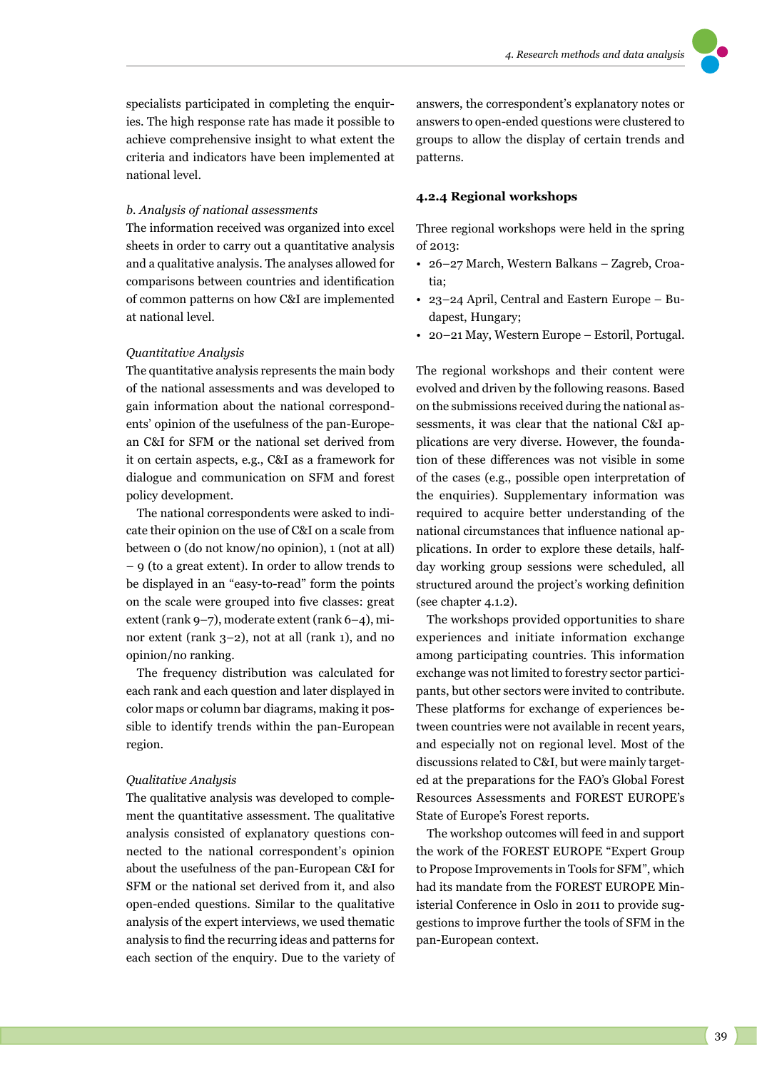

specialists participated in completing the enquiries. The high response rate has made it possible to achieve comprehensive insight to what extent the criteria and indicators have been implemented at national level.

#### *b. Analysis of national assessments*

The information received was organized into excel sheets in order to carry out a quantitative analysis and a qualitative analysis. The analyses allowed for comparisons between countries and identification of common patterns on how C&I are implemented at national level.

#### *Quantitative Analysis*

The quantitative analysis represents the main body of the national assessments and was developed to gain information about the national correspondents' opinion of the usefulness of the pan-European C&I for SFM or the national set derived from it on certain aspects, e.g., C&I as a framework for dialogue and communication on SFM and forest policy development.

The national correspondents were asked to indicate their opinion on the use of C&I on a scale from between 0 (do not know/no opinion), 1 (not at all) – 9 (to a great extent). In order to allow trends to be displayed in an "easy-to-read" form the points on the scale were grouped into five classes: great extent (rank 9–7), moderate extent (rank 6–4), minor extent (rank 3–2), not at all (rank 1), and no opinion/no ranking.

The frequency distribution was calculated for each rank and each question and later displayed in color maps or column bar diagrams, making it possible to identify trends within the pan-European region.

#### *Qualitative Analysis*

The qualitative analysis was developed to complement the quantitative assessment. The qualitative analysis consisted of explanatory questions connected to the national correspondent's opinion about the usefulness of the pan-European C&I for SFM or the national set derived from it, and also open-ended questions. Similar to the qualitative analysis of the expert interviews, we used thematic analysis to find the recurring ideas and patterns for each section of the enquiry. Due to the variety of

answers, the correspondent's explanatory notes or answers to open-ended questions were clustered to groups to allow the display of certain trends and patterns.

### **4.2.4 Regional workshops**

Three regional workshops were held in the spring of 2013:

- 26–27 March, Western Balkans Zagreb, Croatia;
- 23–24 April, Central and Eastern Europe Budapest, Hungary;
- 20–21 May, Western Europe Estoril, Portugal.

The regional workshops and their content were evolved and driven by the following reasons. Based on the submissions received during the national assessments, it was clear that the national C&I applications are very diverse. However, the foundation of these differences was not visible in some of the cases (e.g., possible open interpretation of the enquiries). Supplementary information was required to acquire better understanding of the national circumstances that influence national applications. In order to explore these details, halfday working group sessions were scheduled, all structured around the project's working definition (see chapter 4.1.2).

The workshops provided opportunities to share experiences and initiate information exchange among participating countries. This information exchange was not limited to forestry sector participants, but other sectors were invited to contribute. These platforms for exchange of experiences between countries were not available in recent years, and especially not on regional level. Most of the discussions related to C&I, but were mainly targeted at the preparations for the FAO's Global Forest Resources Assessments and FOREST EUROPE's State of Europe's Forest reports.

The workshop outcomes will feed in and support the work of the FOREST EUROPE "Expert Group to Propose Improvements in Tools for SFM", which had its mandate from the FOREST EUROPE Ministerial Conference in Oslo in 2011 to provide suggestions to improve further the tools of SFM in the pan-European context.